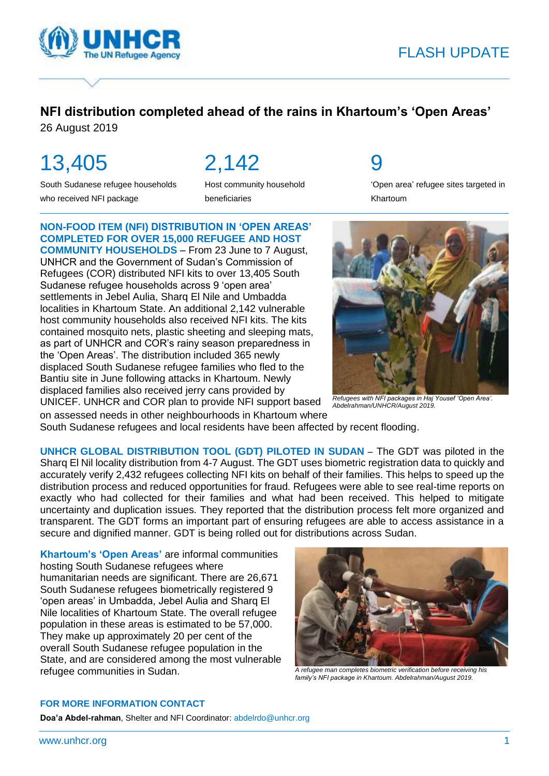

## FLASH UPDATE

### **NFI distribution completed ahead of the rains in Khartoum's 'Open Areas'**

26 August 2019

# 13,405

South Sudanese refugee households who received NFI package

2,142

Host community household beneficiaries

## 9

'Open area' refugee sites targeted in Khartoum

### **NON-FOOD ITEM (NFI) DISTRIBUTION IN 'OPEN AREAS' COMPLETED FOR OVER 15,000 REFUGEE AND HOST**

**COMMUNITY HOUSEHOLDS** – From 23 June to 7 August, UNHCR and the Government of Sudan's Commission of Refugees (COR) distributed NFI kits to over 13,405 South Sudanese refugee households across 9 'open area' settlements in Jebel Aulia, Sharq El Nile and Umbadda localities in Khartoum State. An additional 2,142 vulnerable host community households also received NFI kits. The kits contained mosquito nets, plastic sheeting and sleeping mats, as part of UNHCR and COR's rainy season preparedness in the 'Open Areas'. The distribution included 365 newly displaced South Sudanese refugee families who fled to the Bantiu site in June following attacks in Khartoum. Newly displaced families also received jerry cans provided by UNICEF. UNHCR and COR plan to provide NFI support based *Refugees with NFI packages in Haj Yousef 'Open Area'.* on assessed needs in other neighbourhoods in Khartoum where



*Abdelrahman/UNHCR/August 2019.*

South Sudanese refugees and local residents have been affected by recent flooding.

**UNHCR GLOBAL DISTRIBUTION TOOL (GDT) PILOTED IN SUDAN** – The GDT was piloted in the Sharq El Nil locality distribution from 4-7 August. The GDT uses biometric registration data to quickly and accurately verify 2,432 refugees collecting NFI kits on behalf of their families. This helps to speed up the distribution process and reduced opportunities for fraud. Refugees were able to see real-time reports on exactly who had collected for their families and what had been received. This helped to mitigate uncertainty and duplication issues. They reported that the distribution process felt more organized and transparent. The GDT forms an important part of ensuring refugees are able to access assistance in a secure and dignified manner. GDT is being rolled out for distributions across Sudan.

**Khartoum's 'Open Areas'** are informal communities hosting South Sudanese refugees where humanitarian needs are significant. There are 26,671 South Sudanese refugees biometrically registered 9 'open areas' in Umbadda, Jebel Aulia and Sharq El Nile localities of Khartoum State. The overall refugee population in these areas is estimated to be 57,000. They make up approximately 20 per cent of the overall South Sudanese refugee population in the State, and are considered among the most vulnerable refugee communities in Sudan. *A refugee man completes biometric verification before receiving his* 



*family's NFI package in Khartoum. Abdelrahman/August 2019.*

#### **FOR MORE INFORMATION CONTACT**

**Doa'a Abdel-rahman**, Shelter and NFI Coordinator[: abdelrdo@unhcr.org](mailto:abdelrdo@unhcr.org)